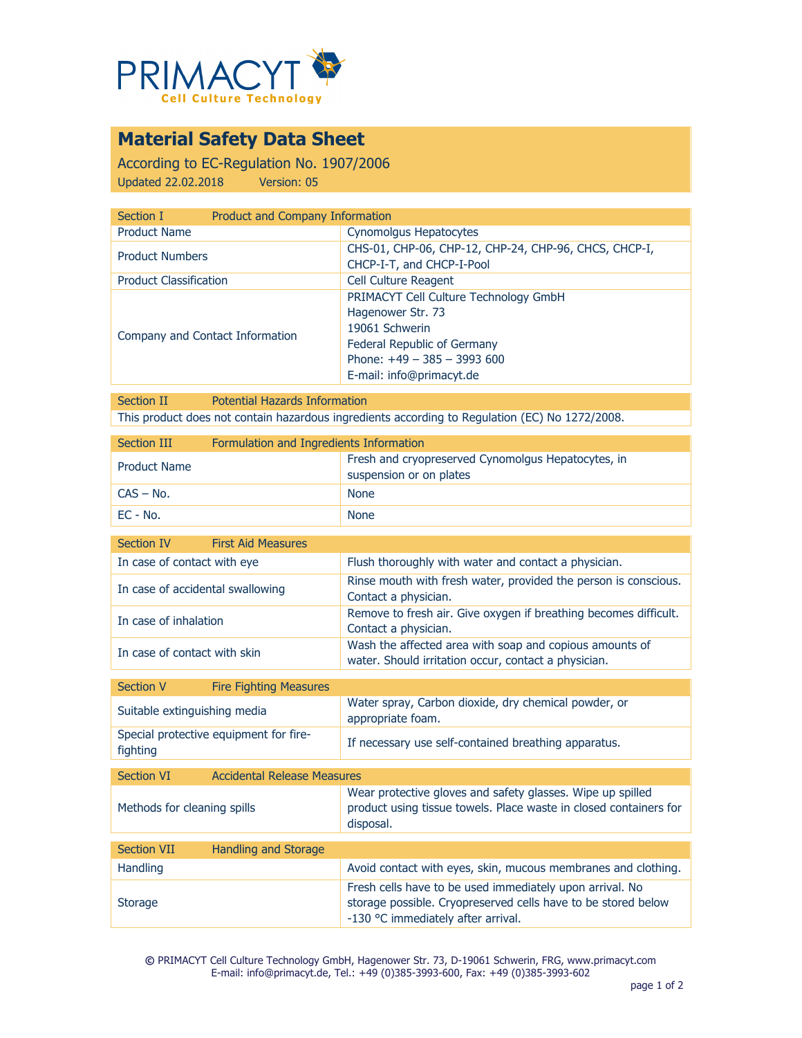

# **Material Safety Data Sheet**

According to EC-Regulation No. 1907/2006 Updated 22.02.2018 Version: 05

| Product and Company Information<br>Section I |                                                       |
|----------------------------------------------|-------------------------------------------------------|
| <b>Product Name</b>                          | Cynomolgus Hepatocytes                                |
| <b>Product Numbers</b>                       | CHS-01, CHP-06, CHP-12, CHP-24, CHP-96, CHCS, CHCP-I, |
|                                              | CHCP-I-T, and CHCP-I-Pool                             |
| <b>Product Classification</b>                | Cell Culture Reagent                                  |
|                                              | PRIMACYT Cell Culture Technology GmbH                 |
|                                              | Hagenower Str. 73                                     |
|                                              | 19061 Schwerin                                        |
| Company and Contact Information              | Federal Republic of Germany                           |
|                                              | Phone: $+49 - 385 - 3993600$                          |
|                                              | E-mail: info@primacyt.de                              |

Section II Potential Hazards Information This product does not contain hazardous ingredients according to Regulation (EC) No 1272/2008.

| Section III         | Formulation and Ingredients Information |                                                                               |
|---------------------|-----------------------------------------|-------------------------------------------------------------------------------|
| <b>Product Name</b> |                                         | Fresh and cryopreserved Cynomolgus Hepatocytes, in<br>suspension or on plates |
| $CAS - No.$         |                                         | <b>None</b>                                                                   |
| EC - No.            |                                         | <b>None</b>                                                                   |

| Section IV                       | <b>First Aid Measures</b> |                                                                                                                 |
|----------------------------------|---------------------------|-----------------------------------------------------------------------------------------------------------------|
| In case of contact with eye      |                           | Flush thoroughly with water and contact a physician.                                                            |
| In case of accidental swallowing |                           | Rinse mouth with fresh water, provided the person is conscious.<br>Contact a physician.                         |
| In case of inhalation            |                           | Remove to fresh air. Give oxygen if breathing becomes difficult.<br>Contact a physician.                        |
| In case of contact with skin     |                           | Wash the affected area with soap and copious amounts of<br>water. Should irritation occur, contact a physician. |

| Section V                    | <b>Fire Fighting Measures</b>          |                                                                           |
|------------------------------|----------------------------------------|---------------------------------------------------------------------------|
| Suitable extinguishing media |                                        | Water spray, Carbon dioxide, dry chemical powder, or<br>appropriate foam. |
| fighting                     | Special protective equipment for fire- | If necessary use self-contained breathing apparatus.                      |
|                              |                                        |                                                                           |
| $C$ oction $\overline{M}$    | Accidental Delegas Meagures            |                                                                           |

| <b>Section VI</b>           | <b>Accidental Release Measures</b> |                                                                                                                                                                 |
|-----------------------------|------------------------------------|-----------------------------------------------------------------------------------------------------------------------------------------------------------------|
| Methods for cleaning spills |                                    | Wear protective gloves and safety glasses. Wipe up spilled<br>product using tissue towels. Place waste in closed containers for<br>disposal.                    |
|                             |                                    |                                                                                                                                                                 |
| <b>Section VII</b>          | <b>Handling and Storage</b>        |                                                                                                                                                                 |
| <b>Handling</b>             |                                    | Avoid contact with eyes, skin, mucous membranes and clothing.                                                                                                   |
| <b>Storage</b>              |                                    | Fresh cells have to be used immediately upon arrival. No<br>storage possible. Cryopreserved cells have to be stored below<br>-130 °C immediately after arrival. |

**©** PRIMACYT Cell Culture Technology GmbH, Hagenower Str. 73, D-19061 Schwerin, FRG, www.primacyt.com E-mail: info@primacyt.de, Tel.: +49 (0)385-3993-600, Fax: +49 (0)385-3993-602